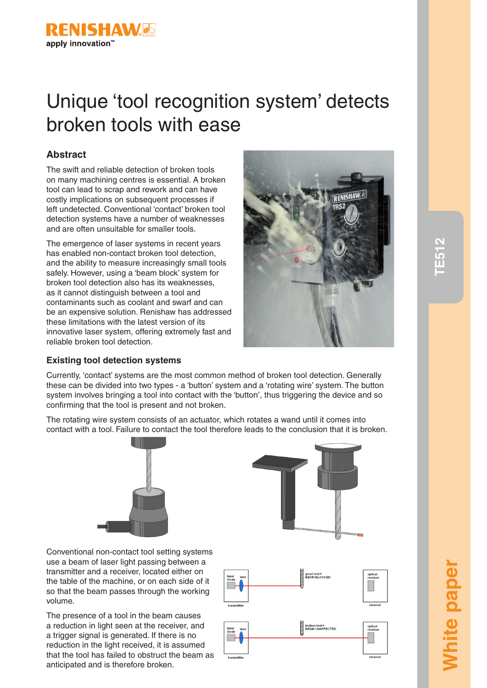

# Unique 'tool recognition system' detects broken tools with ease

# **Abstract**

The swift and reliable detection of broken tools on many machining centres is essential. A broken tool can lead to scrap and rework and can have costly implications on subsequent processes if left undetected. Conventional 'contact' broken tool detection systems have a number of weaknesses and are often unsuitable for smaller tools.

The emergence of laser systems in recent years has enabled non-contact broken tool detection, and the ability to measure increasingly small tools safely. However, using a 'beam block' system for broken tool detection also has its weaknesses, as it cannot distinguish between a tool and contaminants such as coolant and swarf and can be an expensive solution. Renishaw has addressed these limitations with the latest version of its innovative laser system, offering extremely fast and reliable broken tool detection.



# **Existing tool detection systems**

Currently, 'contact' systems are the most common method of broken tool detection. Generally these can be divided into two types - a 'button' system and a 'rotating wire' system. The button system involves bringing a tool into contact with the 'button', thus triggering the device and so confirming that the tool is present and not broken.

The rotating wire system consists of an actuator, which rotates a wand until it comes into contact with a tool. Failure to contact the tool therefore leads to the conclusion that it is broken.





Conventional non-contact tool setting systems use a beam of laser light passing between a transmitter and a receiver, located either on the table of the machine, or on each side of it so that the beam passes through the working volume.

The presence of a tool in the beam causes a reduction in light seen at the receiver, and a trigger signal is generated. If there is no reduction in the light received, it is assumed that the tool has failed to obstruct the beam as anticipated and is therefore broken.

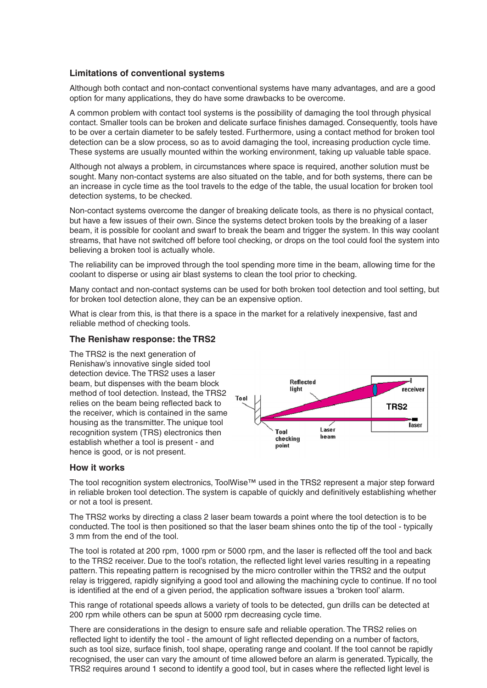# **Limitations of conventional systems**

Although both contact and non-contact conventional systems have many advantages, and are a good option for many applications, they do have some drawbacks to be overcome.

A common problem with contact tool systems is the possibility of damaging the tool through physical contact. Smaller tools can be broken and delicate surface finishes damaged. Consequently, tools have to be over a certain diameter to be safely tested. Furthermore, using a contact method for broken tool detection can be a slow process, so as to avoid damaging the tool, increasing production cycle time. These systems are usually mounted within the working environment, taking up valuable table space.

Although not always a problem, in circumstances where space is required, another solution must be sought. Many non-contact systems are also situated on the table, and for both systems, there can be an increase in cycle time as the tool travels to the edge of the table, the usual location for broken tool detection systems, to be checked.

Non-contact systems overcome the danger of breaking delicate tools, as there is no physical contact, but have a few issues of their own. Since the systems detect broken tools by the breaking of a laser beam, it is possible for coolant and swarf to break the beam and trigger the system. In this way coolant streams, that have not switched off before tool checking, or drops on the tool could fool the system into believing a broken tool is actually whole.

The reliability can be improved through the tool spending more time in the beam, allowing time for the coolant to disperse or using air blast systems to clean the tool prior to checking.

Many contact and non-contact systems can be used for both broken tool detection and tool setting, but for broken tool detection alone, they can be an expensive option.

What is clear from this, is that there is a space in the market for a relatively inexpensive, fast and reliable method of checking tools.

# **The Renishaw response: the TRS2**

The TRS2 is the next generation of Renishaw's innovative single sided tool detection device. The TRS2 uses a laser beam, but dispenses with the beam block method of tool detection. Instead, the TRS2 relies on the beam being reflected back to the receiver, which is contained in the same housing as the transmitter. The unique tool recognition system (TRS) electronics then establish whether a tool is present - and hence is good, or is not present.



# **How it works**

The tool recognition system electronics, ToolWise™ used in the TRS2 represent a major step forward in reliable broken tool detection. The system is capable of quickly and definitively establishing whether or not a tool is present.

The TRS2 works by directing a class 2 laser beam towards a point where the tool detection is to be conducted. The tool is then positioned so that the laser beam shines onto the tip of the tool - typically 3 mm from the end of the tool.

The tool is rotated at 200 rpm, 1000 rpm or 5000 rpm, and the laser is reflected off the tool and back to the TRS2 receiver. Due to the tool's rotation, the reflected light level varies resulting in a repeating pattern. This repeating pattern is recognised by the micro controller within the TRS2 and the output relay is triggered, rapidly signifying a good tool and allowing the machining cycle to continue. If no tool is identified at the end of a given period, the application software issues a 'broken tool' alarm.

This range of rotational speeds allows a variety of tools to be detected, gun drills can be detected at 200 rpm while others can be spun at 5000 rpm decreasing cycle time.

There are considerations in the design to ensure safe and reliable operation. The TRS2 relies on reflected light to identify the tool - the amount of light reflected depending on a number of factors, such as tool size, surface finish, tool shape, operating range and coolant. If the tool cannot be rapidly recognised, the user can vary the amount of time allowed before an alarm is generated. Typically, the TRS2 requires around 1 second to identify a good tool, but in cases where the reflected light level is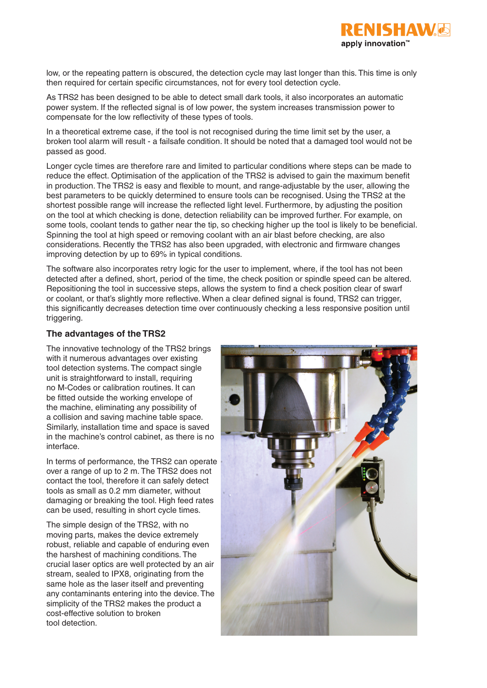

low, or the repeating pattern is obscured, the detection cycle may last longer than this. This time is only then required for certain specific circumstances, not for every tool detection cycle.

As TRS2 has been designed to be able to detect small dark tools, it also incorporates an automatic power system. If the reflected signal is of low power, the system increases transmission power to compensate for the low reflectivity of these types of tools.

In a theoretical extreme case, if the tool is not recognised during the time limit set by the user, a broken tool alarm will result - a failsafe condition. It should be noted that a damaged tool would not be passed as good.

Longer cycle times are therefore rare and limited to particular conditions where steps can be made to reduce the effect. Optimisation of the application of the TRS2 is advised to gain the maximum benefit in production. The TRS2 is easy and flexible to mount, and range-adjustable by the user, allowing the best parameters to be quickly determined to ensure tools can be recognised. Using the TRS2 at the shortest possible range will increase the reflected light level. Furthermore, by adjusting the position on the tool at which checking is done, detection reliability can be improved further. For example, on some tools, coolant tends to gather near the tip, so checking higher up the tool is likely to be beneficial. Spinning the tool at high speed or removing coolant with an air blast before checking, are also considerations. Recently the TRS2 has also been upgraded, with electronic and firmware changes improving detection by up to 69% in typical conditions.

The software also incorporates retry logic for the user to implement, where, if the tool has not been detected after a defined, short, period of the time, the check position or spindle speed can be altered. Repositioning the tool in successive steps, allows the system to find a check position clear of swarf or coolant, or that's slightly more reflective. When a clear defined signal is found, TRS2 can trigger, this significantly decreases detection time over continuously checking a less responsive position until triggering.

# **The advantages of the TRS2**

The innovative technology of the TRS2 brings with it numerous advantages over existing tool detection systems. The compact single unit is straightforward to install, requiring no M-Codes or calibration routines. It can be fitted outside the working envelope of the machine, eliminating any possibility of a collision and saving machine table space. Similarly, installation time and space is saved in the machine's control cabinet, as there is no interface.

In terms of performance, the TRS2 can operate over a range of up to 2 m. The TRS2 does not contact the tool, therefore it can safely detect tools as small as 0.2 mm diameter, without damaging or breaking the tool. High feed rates can be used, resulting in short cycle times.

The simple design of the TRS2, with no moving parts, makes the device extremely robust, reliable and capable of enduring even the harshest of machining conditions. The crucial laser optics are well protected by an air stream, sealed to IPX8, originating from the same hole as the laser itself and preventing any contaminants entering into the device. The simplicity of the TRS2 makes the product a cost-effective solution to broken tool detection.